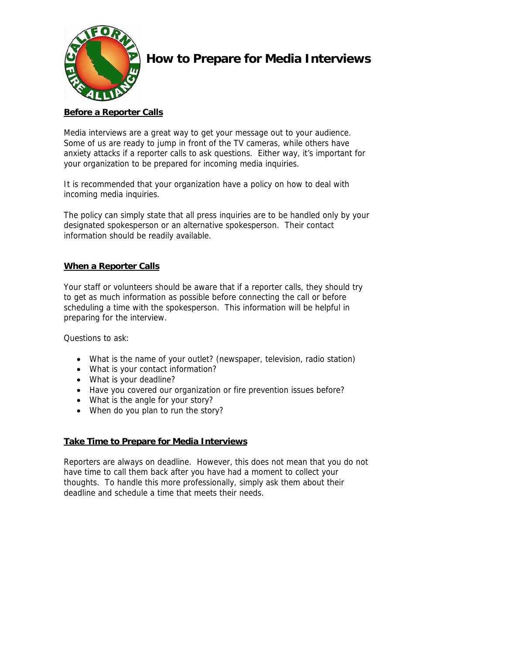

# **How to Prepare for Media Interviews**

## **Before a Reporter Calls**

Media interviews are a great way to get your message out to your audience. Some of us are ready to jump in front of the TV cameras, while others have anxiety attacks if a reporter calls to ask questions. Either way, it's important for your organization to be prepared for incoming media inquiries.

It is recommended that your organization have a policy on how to deal with incoming media inquiries.

The policy can simply state that all press inquiries are to be handled only by your designated spokesperson or an alternative spokesperson. Their contact information should be readily available.

### **When a Reporter Calls**

Your staff or volunteers should be aware that if a reporter calls, they should try to get as much information as possible before connecting the call or before scheduling a time with the spokesperson. This information will be helpful in preparing for the interview.

Questions to ask:

- What is the name of your outlet? (newspaper, television, radio station)
- What is your contact information?
- What is your deadline?
- Have you covered our organization or fire prevention issues before?
- What is the angle for your story?
- When do you plan to run the story?

#### **Take Time to Prepare for Media Interviews**

Reporters are always on deadline. However, this does not mean that you do not have time to call them back after you have had a moment to collect your thoughts. To handle this more professionally, simply ask them about their deadline and schedule a time that meets their needs.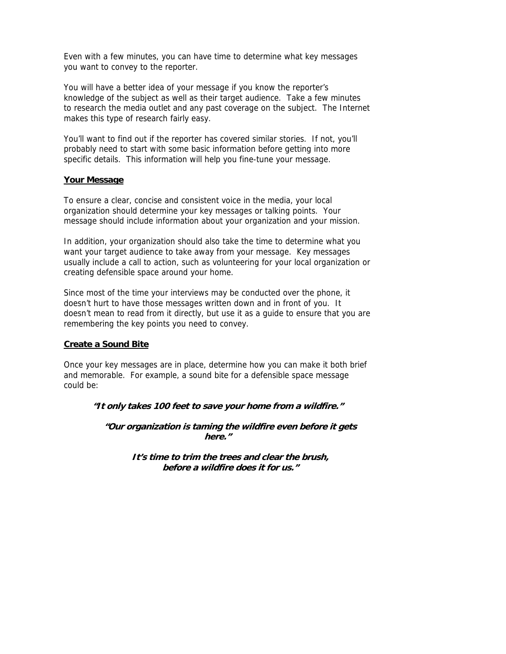Even with a few minutes, you can have time to determine what key messages you want to convey to the reporter.

You will have a better idea of your message if you know the reporter's knowledge of the subject as well as their target audience. Take a few minutes to research the media outlet and any past coverage on the subject. The Internet makes this type of research fairly easy.

You'll want to find out if the reporter has covered similar stories. If not, you'll probably need to start with some basic information before getting into more specific details. This information will help you fine-tune your message.

#### **Your Message**

To ensure a clear, concise and consistent voice in the media, your local organization should determine your key messages or talking points. Your message should include information about your organization and your mission.

In addition, your organization should also take the time to determine what you want your target audience to take away from your message. Key messages usually include a call to action, such as volunteering for your local organization or creating defensible space around your home.

Since most of the time your interviews may be conducted over the phone, it doesn't hurt to have those messages written down and in front of you. It doesn't mean to read from it directly, but use it as a guide to ensure that you are remembering the key points you need to convey.

#### **Create a Sound Bite**

Once your key messages are in place, determine how you can make it both brief and memorable. For example, a sound bite for a defensible space message could be:

#### **"It only takes 100 feet to save your home from a wildfire."**

**"Our organization is taming the wildfire even before it gets here."** 

> **It's time to trim the trees and clear the brush, before a wildfire does it for us."**